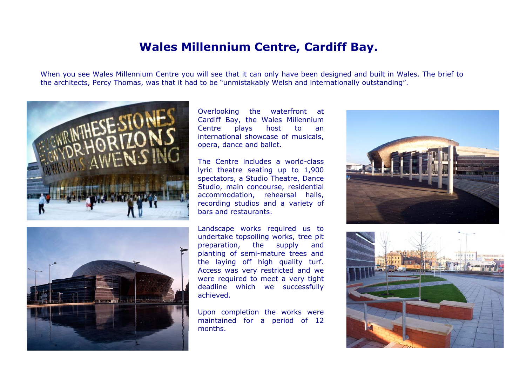## **Wales Millennium Centre, Cardiff Bay.**

When you see Wales Millennium Centre you will see that it can only have been designed and built in Wales. The brief to the architects, Percy Thomas, was that it had to be "unmistakably Welsh and internationally outstanding".





Overlooking the waterfront at Cardiff Bay, the Wales Millennium Centre plays host to an international showcase of musicals, opera, dance and ballet.

The Centre includes a world-classlyric theatre seating up to 1,900 spectators, a Studio Theatre, Dance Studio, main concourse, residential accommodation, rehearsal halls, recording studios and a variety of bars and restaurants.

Landscape works required us to undertake topsoiling works, tree pit preparation, the supply and planting of semi-mature trees and the laying off high quality turf. Access was very restricted and we were required to meet a very tight deadline which we successfully achieved.

Upon completion the works were maintained for a period of 12 months.